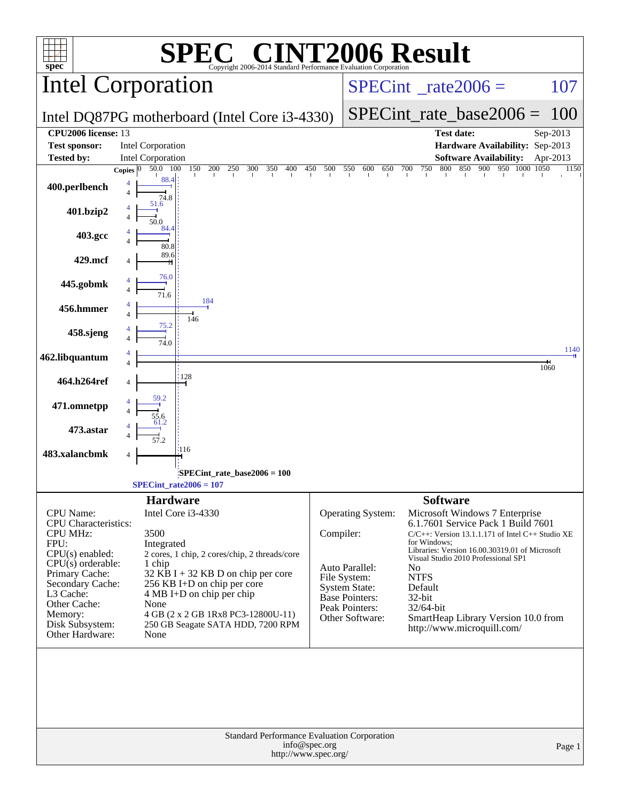|                                                 | <b>SPEC<sup>®</sup> CINT2006 Result</b>                                              |                               |                                      |                           |                                                                                       |              |
|-------------------------------------------------|--------------------------------------------------------------------------------------|-------------------------------|--------------------------------------|---------------------------|---------------------------------------------------------------------------------------|--------------|
| $spec^*$                                        | Copyright 2006-2014 Standard Performance Evaluation Corporation                      |                               |                                      |                           |                                                                                       |              |
|                                                 | Intel Corporation                                                                    | $SPECint^{\circ}$ rate 2006 = |                                      |                           | 107                                                                                   |              |
|                                                 | Intel DQ87PG motherboard (Intel Core i3-4330)                                        |                               |                                      | $SPECint_rate_base2006 =$ | 100                                                                                   |              |
| CPU2006 license: 13                             |                                                                                      |                               |                                      |                           | <b>Test date:</b>                                                                     | Sep-2013     |
| <b>Test sponsor:</b><br><b>Tested by:</b>       | <b>Intel Corporation</b><br>Intel Corporation                                        |                               |                                      |                           | Hardware Availability: Sep-2013<br><b>Software Availability:</b>                      | Apr-2013     |
|                                                 | 150<br>200 250<br>50.0 100<br>300<br>350<br>400<br>Copies $ 0 $                      | 450 500                       | 550<br>600<br>650<br>700             | 750 800                   | 850 900 950 1000 1050                                                                 | 1150         |
| 400.perlbench                                   | 88.4<br>4<br>74.8                                                                    |                               |                                      |                           |                                                                                       |              |
| 401.bzip2                                       | 51.6                                                                                 |                               |                                      |                           |                                                                                       |              |
| 403.gcc                                         | 84.4<br>80.8                                                                         |                               |                                      |                           |                                                                                       |              |
| 429.mcf                                         | 89.6                                                                                 |                               |                                      |                           |                                                                                       |              |
| 445.gobmk                                       | 76.0<br>71.6                                                                         |                               |                                      |                           |                                                                                       |              |
| 456.hmmer                                       | 184<br>146                                                                           |                               |                                      |                           |                                                                                       |              |
| 458.sjeng                                       | 75.2<br>74.0                                                                         |                               |                                      |                           |                                                                                       |              |
| 462.libquantum                                  |                                                                                      |                               |                                      |                           |                                                                                       | 1140<br>1060 |
| 464.h264ref                                     | 128                                                                                  |                               |                                      |                           |                                                                                       |              |
| 471.omnetpp                                     |                                                                                      |                               |                                      |                           |                                                                                       |              |
| 473.astar                                       |                                                                                      |                               |                                      |                           |                                                                                       |              |
| 483.xalancbmk                                   | :116                                                                                 |                               |                                      |                           |                                                                                       |              |
|                                                 | SPECint rate base $2006 = 100$<br>$SPECint_{rate2006} = 107$                         |                               |                                      |                           |                                                                                       |              |
|                                                 | <b>Hardware</b>                                                                      |                               |                                      | <b>Software</b>           |                                                                                       |              |
| <b>CPU</b> Name:<br><b>CPU</b> Characteristics: | Intel Core i3-4330                                                                   |                               | <b>Operating System:</b>             |                           | Microsoft Windows 7 Enterprise<br>6.1.7601 Service Pack 1 Build 7601                  |              |
| <b>CPU MHz:</b>                                 | 3500                                                                                 | Compiler:                     |                                      |                           | $C/C++$ : Version 13.1.1.171 of Intel $C++$ Studio XE                                 |              |
| FPU:<br>$CPU(s)$ enabled:                       | Integrated<br>2 cores, 1 chip, 2 cores/chip, 2 threads/core                          |                               |                                      | for Windows:              | Libraries: Version 16.00.30319.01 of Microsoft<br>Visual Studio 2010 Professional SP1 |              |
| $CPU(s)$ orderable:<br>Primary Cache:           | 1 chip<br>$32$ KB I + 32 KB D on chip per core                                       |                               | Auto Parallel:                       | No                        |                                                                                       |              |
| Secondary Cache:                                | 256 KB I+D on chip per core                                                          |                               | File System:<br><b>System State:</b> | <b>NTFS</b><br>Default    |                                                                                       |              |
| L3 Cache:<br>Other Cache:                       | $4 MB I+D$ on chip per chip<br>None                                                  |                               | Base Pointers:                       | 32-bit                    |                                                                                       |              |
| Memory:                                         | 4 GB (2 x 2 GB 1Rx8 PC3-12800U-11)                                                   |                               | Peak Pointers:<br>Other Software:    | 32/64-bit                 | SmartHeap Library Version 10.0 from                                                   |              |
| Disk Subsystem:<br>Other Hardware:              | 250 GB Seagate SATA HDD, 7200 RPM<br>None                                            |                               |                                      |                           | http://www.microquill.com/                                                            |              |
|                                                 |                                                                                      |                               |                                      |                           |                                                                                       |              |
|                                                 | Standard Performance Evaluation Corporation<br>info@spec.org<br>http://www.spec.org/ |                               |                                      |                           |                                                                                       | Page 1       |
|                                                 |                                                                                      |                               |                                      |                           |                                                                                       |              |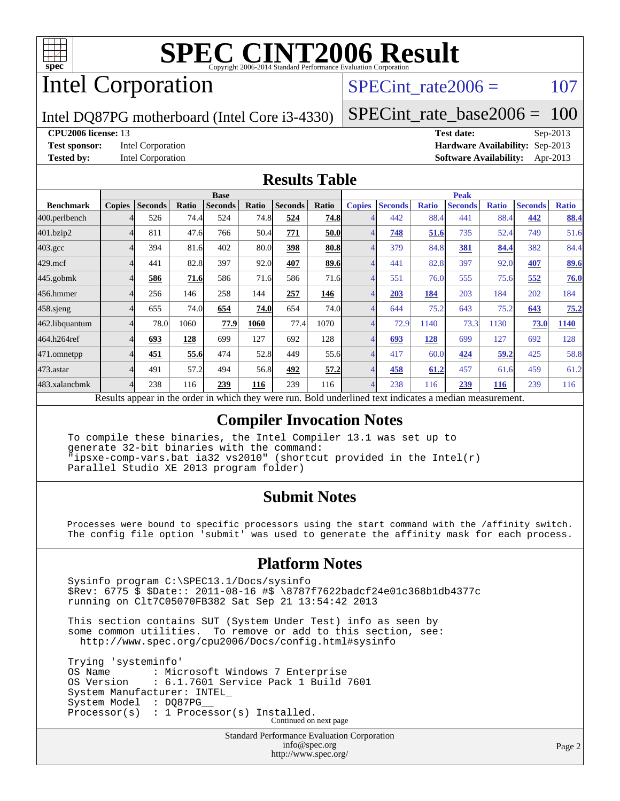

# Intel Corporation

### SPECint rate $2006 = 107$

Intel DQ87PG motherboard (Intel Core i3-4330)

[SPECint\\_rate\\_base2006 =](http://www.spec.org/auto/cpu2006/Docs/result-fields.html#SPECintratebase2006) 100

#### **[CPU2006 license:](http://www.spec.org/auto/cpu2006/Docs/result-fields.html#CPU2006license)** 13 **[Test date:](http://www.spec.org/auto/cpu2006/Docs/result-fields.html#Testdate)** Sep-2013

**[Test sponsor:](http://www.spec.org/auto/cpu2006/Docs/result-fields.html#Testsponsor)** Intel Corporation **[Hardware Availability:](http://www.spec.org/auto/cpu2006/Docs/result-fields.html#HardwareAvailability)** Sep-2013 **[Tested by:](http://www.spec.org/auto/cpu2006/Docs/result-fields.html#Testedby)** Intel Corporation **[Software Availability:](http://www.spec.org/auto/cpu2006/Docs/result-fields.html#SoftwareAvailability)** Apr-2013

### **[Results Table](http://www.spec.org/auto/cpu2006/Docs/result-fields.html#ResultsTable)**

| <b>Base</b>   |                |       |                |                                                              |                |                                                                     | <b>Peak</b>                          |                                                              |              |                |                                                      |                |                                                              |
|---------------|----------------|-------|----------------|--------------------------------------------------------------|----------------|---------------------------------------------------------------------|--------------------------------------|--------------------------------------------------------------|--------------|----------------|------------------------------------------------------|----------------|--------------------------------------------------------------|
| <b>Copies</b> | <b>Seconds</b> | Ratio | <b>Seconds</b> | Ratio                                                        | <b>Seconds</b> | Ratio                                                               | <b>Copies</b>                        | <b>Seconds</b>                                               | <b>Ratio</b> | <b>Seconds</b> | <b>Ratio</b>                                         | <b>Seconds</b> | <b>Ratio</b>                                                 |
|               | 526            |       | 524            |                                                              | 524            |                                                                     |                                      | 442                                                          |              | 441            |                                                      | 442            | 88.4                                                         |
|               | 811            |       | 766            |                                                              | 771            |                                                                     |                                      | 748                                                          |              | 735            |                                                      | 749            | 51.6                                                         |
|               | 394            |       | 402            |                                                              | 398            |                                                                     |                                      | 379                                                          |              | 381            |                                                      | 382            | 84.4                                                         |
|               | 441            |       | 397            |                                                              | 407            |                                                                     |                                      | 441                                                          |              | 397            |                                                      | 407            | 89.6                                                         |
|               | 586            |       | 586            |                                                              | 586            |                                                                     |                                      | 551                                                          |              | 555            |                                                      | 552            | 76.0                                                         |
|               | 256            | 146   | 258            | 144                                                          | 257            | 146                                                                 |                                      | 203                                                          | 184          | 203            | 184                                                  | 202            | 184                                                          |
|               | 655            |       | 654            |                                                              | 654            |                                                                     |                                      | 644                                                          |              | 643            |                                                      | 643            | 75.2                                                         |
|               | 78.0           | 1060  | 77.9           | 1060                                                         | 77.4           | 1070                                                                |                                      | 72.9                                                         | 1140         | 73.3           | 1130                                                 | 73.0           | 1140                                                         |
|               | 693            | 128   | 699            | 127                                                          | 692            | 128                                                                 |                                      | 693                                                          | 128          | 699            | 127                                                  | 692            | 128                                                          |
|               | 451            |       | 474            |                                                              | 449            |                                                                     |                                      | 417                                                          |              | 424            |                                                      | 425            | 58.8                                                         |
|               | 491            |       | 494            |                                                              | 492            |                                                                     |                                      | 458                                                          | 61.2         | 457            |                                                      | 459            | 61.2                                                         |
|               | 238            | 116   | 239            | 116                                                          | 239            | 116                                                                 |                                      | 238                                                          | 116          | 239            | <u>116</u>                                           | 239            | 116                                                          |
|               | $\mathbf{1}$ . |       | $\mathbf{1}$   | 74.4<br>47.6<br>81.6<br>82.8<br>71.6<br>74.0<br>55.6<br>57.2 |                | 74.8<br>50.4<br>80.0<br>92.0<br>71.6<br><b>74.0</b><br>52.8<br>56.8 | 1.1.1.1<br>$\mathbf{r}$ $\mathbf{r}$ | 74.8<br>50.0<br>80.8<br>89.6<br>71.6<br>74.0<br>55.6<br>57.2 | .            |                | 88.4<br>51.6<br>84.8<br>82.8<br>76.0<br>75.2<br>60.0 |                | 88.4<br>52.4<br>84.4<br>92.0<br>75.6<br>75.2<br>59.2<br>61.6 |

Results appear in the [order in which they were run.](http://www.spec.org/auto/cpu2006/Docs/result-fields.html#RunOrder) Bold underlined text [indicates a median measurement.](http://www.spec.org/auto/cpu2006/Docs/result-fields.html#Median)

### **[Compiler Invocation Notes](http://www.spec.org/auto/cpu2006/Docs/result-fields.html#CompilerInvocationNotes)**

 To compile these binaries, the Intel Compiler 13.1 was set up to generate 32-bit binaries with the command: "ipsxe-comp-vars.bat ia32 vs2010" (shortcut provided in the Intel(r) Parallel Studio XE 2013 program folder)

### **[Submit Notes](http://www.spec.org/auto/cpu2006/Docs/result-fields.html#SubmitNotes)**

 Processes were bound to specific processors using the start command with the /affinity switch. The config file option 'submit' was used to generate the affinity mask for each process.

### **[Platform Notes](http://www.spec.org/auto/cpu2006/Docs/result-fields.html#PlatformNotes)**

 Sysinfo program C:\SPEC13.1/Docs/sysinfo \$Rev: 6775 \$ \$Date:: 2011-08-16 #\$ \8787f7622badcf24e01c368b1db4377c running on Clt7C05070FB382 Sat Sep 21 13:54:42 2013

 This section contains SUT (System Under Test) info as seen by some common utilities. To remove or add to this section, see: <http://www.spec.org/cpu2006/Docs/config.html#sysinfo>

 Trying 'systeminfo' OS Name : Microsoft Windows 7 Enterprise<br>OS Version : 6.1.7601 Service Pack 1 Build : 6.1.7601 Service Pack 1 Build 7601 System Manufacturer: INTEL\_ System Model : DQ87PG Processor(s) : 1 Processor(s) Installed. Continued on next page

> Standard Performance Evaluation Corporation [info@spec.org](mailto:info@spec.org) <http://www.spec.org/>

Page 2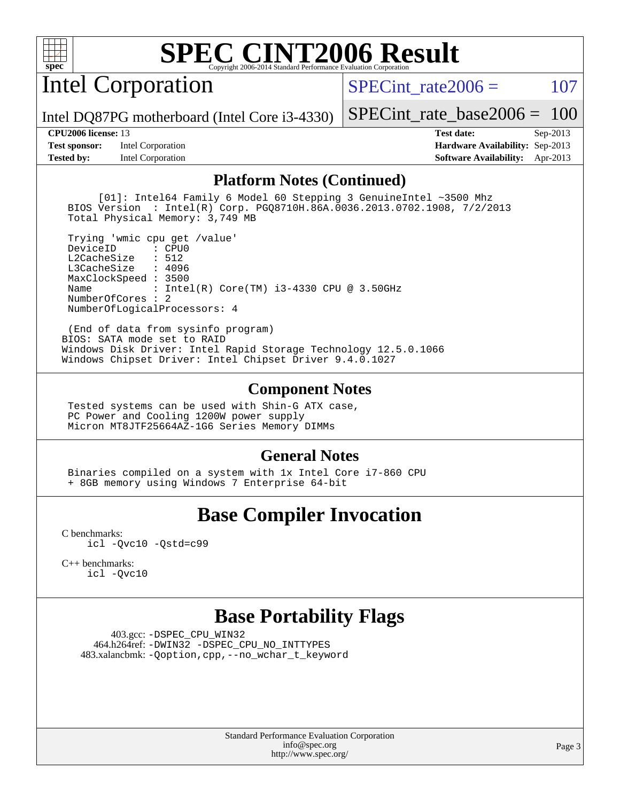

Intel Corporation

SPECint rate $2006 = 107$ 

Intel DQ87PG motherboard (Intel Core i3-4330)

**[Test sponsor:](http://www.spec.org/auto/cpu2006/Docs/result-fields.html#Testsponsor)** Intel Corporation **[Hardware Availability:](http://www.spec.org/auto/cpu2006/Docs/result-fields.html#HardwareAvailability)** Sep-2013 **[Tested by:](http://www.spec.org/auto/cpu2006/Docs/result-fields.html#Testedby)** Intel Corporation **[Software Availability:](http://www.spec.org/auto/cpu2006/Docs/result-fields.html#SoftwareAvailability)** Apr-2013

[SPECint\\_rate\\_base2006 =](http://www.spec.org/auto/cpu2006/Docs/result-fields.html#SPECintratebase2006) 100 **[CPU2006 license:](http://www.spec.org/auto/cpu2006/Docs/result-fields.html#CPU2006license)** 13 **[Test date:](http://www.spec.org/auto/cpu2006/Docs/result-fields.html#Testdate)** Sep-2013

**[Platform Notes \(Continued\)](http://www.spec.org/auto/cpu2006/Docs/result-fields.html#PlatformNotes)**

 [01]: Intel64 Family 6 Model 60 Stepping 3 GenuineIntel ~3500 Mhz BIOS Version : Intel(R) Corp. PGQ8710H.86A.0036.2013.0702.1908, 7/2/2013 Total Physical Memory: 3,749 MB

 Trying 'wmic cpu get /value' DeviceID L2CacheSize : 512 L3CacheSize : 4096 MaxClockSpeed : 3500 Name : Intel(R) Core(TM) i3-4330 CPU @ 3.50GHz NumberOfCores : 2 NumberOfLogicalProcessors: 4

 (End of data from sysinfo program) BIOS: SATA mode set to RAID Windows Disk Driver: Intel Rapid Storage Technology 12.5.0.1066 Windows Chipset Driver: Intel Chipset Driver 9.4.0.1027

### **[Component Notes](http://www.spec.org/auto/cpu2006/Docs/result-fields.html#ComponentNotes)**

 Tested systems can be used with Shin-G ATX case, PC Power and Cooling 1200W power supply Micron MT8JTF25664AZ-1G6 Series Memory DIMMs

### **[General Notes](http://www.spec.org/auto/cpu2006/Docs/result-fields.html#GeneralNotes)**

 Binaries compiled on a system with 1x Intel Core i7-860 CPU + 8GB memory using Windows 7 Enterprise 64-bit

## **[Base Compiler Invocation](http://www.spec.org/auto/cpu2006/Docs/result-fields.html#BaseCompilerInvocation)**

[C benchmarks](http://www.spec.org/auto/cpu2006/Docs/result-fields.html#Cbenchmarks): [icl -Qvc10](http://www.spec.org/cpu2006/results/res2014q3/cpu2006-20140701-30260.flags.html#user_CCbase_intel_icc_vc10_9607f3ecbcdf68042245f068e51b40c1) [-Qstd=c99](http://www.spec.org/cpu2006/results/res2014q3/cpu2006-20140701-30260.flags.html#user_CCbase_intel_compiler_c99_mode_1a3d110e3041b3ad4466830521bdad2a)

[C++ benchmarks:](http://www.spec.org/auto/cpu2006/Docs/result-fields.html#CXXbenchmarks) [icl -Qvc10](http://www.spec.org/cpu2006/results/res2014q3/cpu2006-20140701-30260.flags.html#user_CXXbase_intel_icc_vc10_9607f3ecbcdf68042245f068e51b40c1)

### **[Base Portability Flags](http://www.spec.org/auto/cpu2006/Docs/result-fields.html#BasePortabilityFlags)**

 403.gcc: [-DSPEC\\_CPU\\_WIN32](http://www.spec.org/cpu2006/results/res2014q3/cpu2006-20140701-30260.flags.html#b403.gcc_baseCPORTABILITY_DSPEC_CPU_WIN32) 464.h264ref: [-DWIN32](http://www.spec.org/cpu2006/results/res2014q3/cpu2006-20140701-30260.flags.html#b464.h264ref_baseCPORTABILITY_DWIN32) [-DSPEC\\_CPU\\_NO\\_INTTYPES](http://www.spec.org/cpu2006/results/res2014q3/cpu2006-20140701-30260.flags.html#b464.h264ref_baseCPORTABILITY_DSPEC_CPU_NO_INTTYPES) 483.xalancbmk: [-Qoption,cpp,--no\\_wchar\\_t\\_keyword](http://www.spec.org/cpu2006/results/res2014q3/cpu2006-20140701-30260.flags.html#user_baseCXXPORTABILITY483_xalancbmk_f-no_wchar_t_keyword_ec0ad4495a16b4e858bfcb29d949d25d)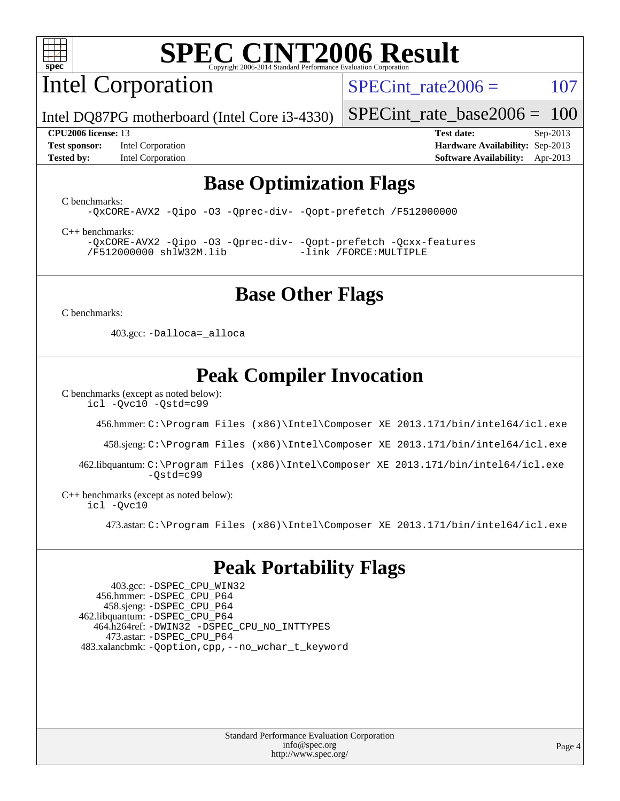

Intel Corporation

SPECint rate $2006 = 107$ 

Intel DQ87PG motherboard (Intel Core i3-4330)

**[Test sponsor:](http://www.spec.org/auto/cpu2006/Docs/result-fields.html#Testsponsor)** Intel Corporation **[Hardware Availability:](http://www.spec.org/auto/cpu2006/Docs/result-fields.html#HardwareAvailability)** Sep-2013

[SPECint\\_rate\\_base2006 =](http://www.spec.org/auto/cpu2006/Docs/result-fields.html#SPECintratebase2006) 100 **[CPU2006 license:](http://www.spec.org/auto/cpu2006/Docs/result-fields.html#CPU2006license)** 13 **[Test date:](http://www.spec.org/auto/cpu2006/Docs/result-fields.html#Testdate)** Sep-2013

**[Tested by:](http://www.spec.org/auto/cpu2006/Docs/result-fields.html#Testedby)** Intel Corporation **[Software Availability:](http://www.spec.org/auto/cpu2006/Docs/result-fields.html#SoftwareAvailability)** Apr-2013

### **[Base Optimization Flags](http://www.spec.org/auto/cpu2006/Docs/result-fields.html#BaseOptimizationFlags)**

[C benchmarks](http://www.spec.org/auto/cpu2006/Docs/result-fields.html#Cbenchmarks):

[-QxCORE-AVX2](http://www.spec.org/cpu2006/results/res2014q3/cpu2006-20140701-30260.flags.html#user_CCbase_f-QxAVX2_f98716b5f9e905f99c943c56f21bf430) [-Qipo](http://www.spec.org/cpu2006/results/res2014q3/cpu2006-20140701-30260.flags.html#user_CCbase_f-Qipo) [-O3](http://www.spec.org/cpu2006/results/res2014q3/cpu2006-20140701-30260.flags.html#user_CCbase_f-O3) [-Qprec-div-](http://www.spec.org/cpu2006/results/res2014q3/cpu2006-20140701-30260.flags.html#user_CCbase_f-Qprec-div-) [-Qopt-prefetch](http://www.spec.org/cpu2006/results/res2014q3/cpu2006-20140701-30260.flags.html#user_CCbase_f-Qprefetch_37c211608666b9dff9380561f602f0a8) [/F512000000](http://www.spec.org/cpu2006/results/res2014q3/cpu2006-20140701-30260.flags.html#user_CCbase_set_stack_space_98438a10eb60aa5f35f4c79d9b9b27b1)

[C++ benchmarks:](http://www.spec.org/auto/cpu2006/Docs/result-fields.html#CXXbenchmarks) [-QxCORE-AVX2](http://www.spec.org/cpu2006/results/res2014q3/cpu2006-20140701-30260.flags.html#user_CXXbase_f-QxAVX2_f98716b5f9e905f99c943c56f21bf430) [-Qipo](http://www.spec.org/cpu2006/results/res2014q3/cpu2006-20140701-30260.flags.html#user_CXXbase_f-Qipo) [-O3](http://www.spec.org/cpu2006/results/res2014q3/cpu2006-20140701-30260.flags.html#user_CXXbase_f-O3) [-Qprec-div-](http://www.spec.org/cpu2006/results/res2014q3/cpu2006-20140701-30260.flags.html#user_CXXbase_f-Qprec-div-) [-Qopt-prefetch](http://www.spec.org/cpu2006/results/res2014q3/cpu2006-20140701-30260.flags.html#user_CXXbase_f-Qprefetch_37c211608666b9dff9380561f602f0a8) [-Qcxx-features](http://www.spec.org/cpu2006/results/res2014q3/cpu2006-20140701-30260.flags.html#user_CXXbase_f-Qcxx_features_dbf36c8a6dba956e22f1645e4dcd4d98) [/F512000000](http://www.spec.org/cpu2006/results/res2014q3/cpu2006-20140701-30260.flags.html#user_CXXbase_set_stack_space_98438a10eb60aa5f35f4c79d9b9b27b1) [shlW32M.lib](http://www.spec.org/cpu2006/results/res2014q3/cpu2006-20140701-30260.flags.html#user_CXXbase_SmartHeap32_d106338dfda1a055705c9b519e07f096) [-link /FORCE:MULTIPLE](http://www.spec.org/cpu2006/results/res2014q3/cpu2006-20140701-30260.flags.html#user_CXXbase_link_force_multiple2_070fe330869edf77077b841074b8b0b6)

## **[Base Other Flags](http://www.spec.org/auto/cpu2006/Docs/result-fields.html#BaseOtherFlags)**

[C benchmarks](http://www.spec.org/auto/cpu2006/Docs/result-fields.html#Cbenchmarks):

403.gcc: [-Dalloca=\\_alloca](http://www.spec.org/cpu2006/results/res2014q3/cpu2006-20140701-30260.flags.html#b403.gcc_baseEXTRA_CFLAGS_Dalloca_be3056838c12de2578596ca5467af7f3)

# **[Peak Compiler Invocation](http://www.spec.org/auto/cpu2006/Docs/result-fields.html#PeakCompilerInvocation)**

[C benchmarks \(except as noted below\)](http://www.spec.org/auto/cpu2006/Docs/result-fields.html#Cbenchmarksexceptasnotedbelow):

[icl -Qvc10](http://www.spec.org/cpu2006/results/res2014q3/cpu2006-20140701-30260.flags.html#user_CCpeak_intel_icc_vc10_9607f3ecbcdf68042245f068e51b40c1) [-Qstd=c99](http://www.spec.org/cpu2006/results/res2014q3/cpu2006-20140701-30260.flags.html#user_CCpeak_intel_compiler_c99_mode_1a3d110e3041b3ad4466830521bdad2a)

456.hmmer: [C:\Program Files \(x86\)\Intel\Composer XE 2013.171/bin/intel64/icl.exe](http://www.spec.org/cpu2006/results/res2014q3/cpu2006-20140701-30260.flags.html#user_peakCCLD456_hmmer_intel_icc_64bit_a47adb23ffeeb40a4c72a454746f326c)

458.sjeng: [C:\Program Files \(x86\)\Intel\Composer XE 2013.171/bin/intel64/icl.exe](http://www.spec.org/cpu2006/results/res2014q3/cpu2006-20140701-30260.flags.html#user_peakCCLD458_sjeng_intel_icc_64bit_a47adb23ffeeb40a4c72a454746f326c)

 462.libquantum: [C:\Program Files \(x86\)\Intel\Composer XE 2013.171/bin/intel64/icl.exe](http://www.spec.org/cpu2006/results/res2014q3/cpu2006-20140701-30260.flags.html#user_peakCCLD462_libquantum_intel_icc_64bit_a47adb23ffeeb40a4c72a454746f326c)  $-Ostd=c99$ 

[C++ benchmarks \(except as noted below\):](http://www.spec.org/auto/cpu2006/Docs/result-fields.html#CXXbenchmarksexceptasnotedbelow) [icl -Qvc10](http://www.spec.org/cpu2006/results/res2014q3/cpu2006-20140701-30260.flags.html#user_CXXpeak_intel_icc_vc10_9607f3ecbcdf68042245f068e51b40c1)

473.astar: [C:\Program Files \(x86\)\Intel\Composer XE 2013.171/bin/intel64/icl.exe](http://www.spec.org/cpu2006/results/res2014q3/cpu2006-20140701-30260.flags.html#user_peakCXXLD473_astar_intel_icc_64bit_a47adb23ffeeb40a4c72a454746f326c)

## **[Peak Portability Flags](http://www.spec.org/auto/cpu2006/Docs/result-fields.html#PeakPortabilityFlags)**

 403.gcc: [-DSPEC\\_CPU\\_WIN32](http://www.spec.org/cpu2006/results/res2014q3/cpu2006-20140701-30260.flags.html#b403.gcc_peakCPORTABILITY_DSPEC_CPU_WIN32) 456.hmmer: [-DSPEC\\_CPU\\_P64](http://www.spec.org/cpu2006/results/res2014q3/cpu2006-20140701-30260.flags.html#suite_peakPORTABILITY456_hmmer_DSPEC_CPU_P64) 458.sjeng: [-DSPEC\\_CPU\\_P64](http://www.spec.org/cpu2006/results/res2014q3/cpu2006-20140701-30260.flags.html#suite_peakPORTABILITY458_sjeng_DSPEC_CPU_P64) 462.libquantum: [-DSPEC\\_CPU\\_P64](http://www.spec.org/cpu2006/results/res2014q3/cpu2006-20140701-30260.flags.html#suite_peakPORTABILITY462_libquantum_DSPEC_CPU_P64) 464.h264ref: [-DWIN32](http://www.spec.org/cpu2006/results/res2014q3/cpu2006-20140701-30260.flags.html#b464.h264ref_peakCPORTABILITY_DWIN32) [-DSPEC\\_CPU\\_NO\\_INTTYPES](http://www.spec.org/cpu2006/results/res2014q3/cpu2006-20140701-30260.flags.html#b464.h264ref_peakCPORTABILITY_DSPEC_CPU_NO_INTTYPES) 473.astar: [-DSPEC\\_CPU\\_P64](http://www.spec.org/cpu2006/results/res2014q3/cpu2006-20140701-30260.flags.html#suite_peakPORTABILITY473_astar_DSPEC_CPU_P64) 483.xalancbmk: [-Qoption,cpp,--no\\_wchar\\_t\\_keyword](http://www.spec.org/cpu2006/results/res2014q3/cpu2006-20140701-30260.flags.html#user_peakCXXPORTABILITY483_xalancbmk_f-no_wchar_t_keyword_ec0ad4495a16b4e858bfcb29d949d25d)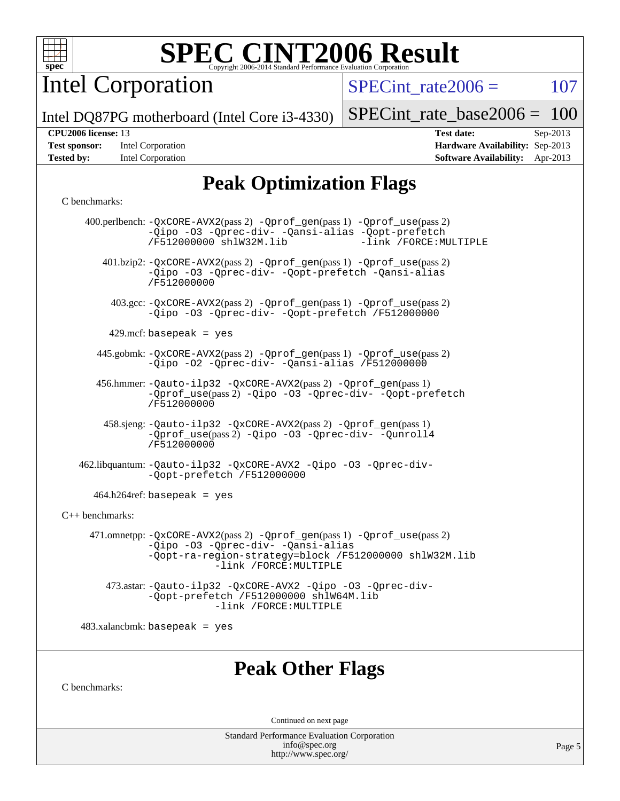

Intel Corporation

 $SPECTnt_rate2006 = 107$ 

Intel DQ87PG motherboard (Intel Core i3-4330)

| <b>Test sponsor:</b> | Intel Corporation |
|----------------------|-------------------|
| <b>Tested by:</b>    | Intel Corporation |

[SPECint\\_rate\\_base2006 =](http://www.spec.org/auto/cpu2006/Docs/result-fields.html#SPECintratebase2006) 100 **[CPU2006 license:](http://www.spec.org/auto/cpu2006/Docs/result-fields.html#CPU2006license)** 13 **[Test date:](http://www.spec.org/auto/cpu2006/Docs/result-fields.html#Testdate)** Sep-2013 **[Hardware Availability:](http://www.spec.org/auto/cpu2006/Docs/result-fields.html#HardwareAvailability)** Sep-2013

**[Software Availability:](http://www.spec.org/auto/cpu2006/Docs/result-fields.html#SoftwareAvailability)** Apr-2013

# **[Peak Optimization Flags](http://www.spec.org/auto/cpu2006/Docs/result-fields.html#PeakOptimizationFlags)**

#### [C benchmarks](http://www.spec.org/auto/cpu2006/Docs/result-fields.html#Cbenchmarks):

|                 | 400.perlbench: -QxCORE-AVX2(pass 2) -Qprof_gen(pass 1) -Qprof_use(pass 2)<br>-Qipo -03 -Qprec-div- -Qansi-alias -Qopt-prefetch<br>-link /FORCE: MULTIPLE<br>/F512000000 shlW32M.lib               |
|-----------------|---------------------------------------------------------------------------------------------------------------------------------------------------------------------------------------------------|
|                 | 401.bzip2: -QxCORE-AVX2(pass 2) -Qprof_gen(pass 1) -Qprof_use(pass 2)<br>-Qipo -03 -Qprec-div- -Qopt-prefetch -Qansi-alias<br>/F512000000                                                         |
|                 | 403.gcc: -QxCORE-AVX2(pass 2) -Qprof_gen(pass 1) -Qprof_use(pass 2)<br>-Qipo -03 -Qprec-div- -Qopt-prefetch /F512000000                                                                           |
|                 | 429.mcf: basepeak = $yes$                                                                                                                                                                         |
|                 | 445.gobmk: -QxCORE-AVX2(pass 2) -Qprof_gen(pass 1) -Qprof_use(pass 2)<br>-Qipo -02 -Qprec-div- -Qansi-alias /F512000000                                                                           |
|                 | 456.hmmer: -Qauto-ilp32 -QxCORE-AVX2(pass 2) -Qprof_gen(pass 1)<br>-Oprof_use(pass 2) -Qipo -03 -Oprec-div- -Qopt-prefetch<br>/F512000000                                                         |
|                 | 458.sjeng: -Qauto-ilp32 -QxCORE-AVX2(pass 2) -Qprof_gen(pass 1)<br>-Oprof_use(pass 2) -Oipo -O3 -Oprec-div- -Ounroll4<br>/F512000000                                                              |
|                 | 462.libquantum: -Qauto-ilp32 -QxCORE-AVX2 -Qipo -03 -Qprec-div-<br>-Qopt-prefetch /F512000000                                                                                                     |
|                 | $464.h264$ ref: basepeak = yes                                                                                                                                                                    |
| C++ benchmarks: |                                                                                                                                                                                                   |
|                 | 471.omnetpp: -QxCORE-AVX2(pass 2) -Qprof_gen(pass 1) -Qprof_use(pass 2)<br>-Qipo -03 -Qprec-div- -Qansi-alias<br>-Qopt-ra-region-strategy=block /F512000000 shlW32M.lib<br>-link /FORCE: MULTIPLE |
|                 | 473.astar: -Qauto-ilp32 -QxCORE-AVX2 -Qipo -03 -Qprec-div-<br>-Qopt-prefetch /F512000000 shlW64M.lib<br>-link /FORCE: MULTIPLE                                                                    |
|                 | $483.xalanchmk: basepeak = yes$                                                                                                                                                                   |
| C benchmarks:   | <b>Peak Other Flags</b>                                                                                                                                                                           |
|                 | Continued on next page                                                                                                                                                                            |